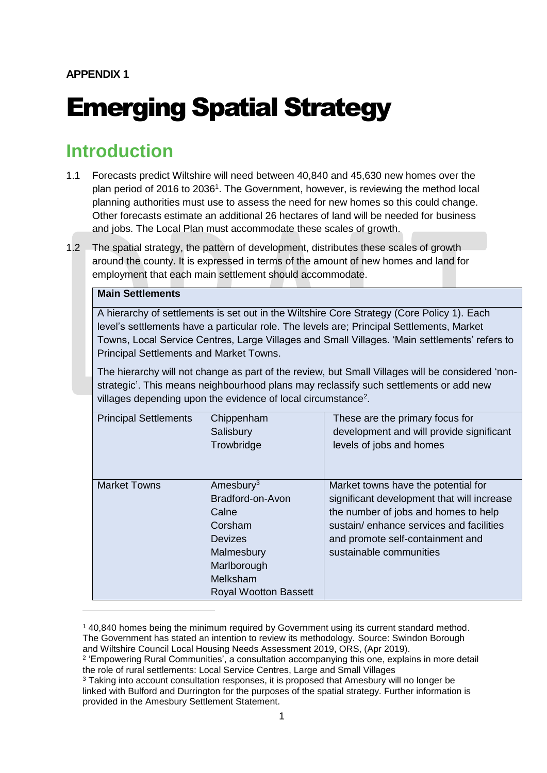# Emerging Spatial Strategy

## **Introduction**

- 1.1 Forecasts predict Wiltshire will need between 40,840 and 45,630 new homes over the plan period of 2016 to 2036<sup>1</sup>. The Government, however, is reviewing the method local planning authorities must use to assess the need for new homes so this could change. Other forecasts estimate an additional 26 hectares of land will be needed for business and jobs. The Local Plan must accommodate these scales of growth.
- 1.2 The spatial strategy, the pattern of development, distributes these scales of growth around the county. It is expressed in terms of the amount of new homes and land for employment that each main settlement should accommodate.

#### **Main Settlements**

-

A hierarchy of settlements is set out in the Wiltshire Core Strategy (Core Policy 1). Each level's settlements have a particular role. The levels are; Principal Settlements, Market Towns, Local Service Centres, Large Villages and Small Villages. 'Main settlements' refers to Principal Settlements and Market Towns.

The hierarchy will not change as part of the review, but Small Villages will be considered 'nonstrategic'. This means neighbourhood plans may reclassify such settlements or add new villages depending upon the evidence of local circumstance<sup>2</sup>.

| <b>Principal Settlements</b> | Chippenham                   | These are the primary focus for            |
|------------------------------|------------------------------|--------------------------------------------|
|                              | Salisbury                    | development and will provide significant   |
|                              | Trowbridge                   | levels of jobs and homes                   |
|                              |                              |                                            |
|                              |                              |                                            |
| <b>Market Towns</b>          | Amesbury <sup>3</sup>        | Market towns have the potential for        |
|                              | Bradford-on-Avon             | significant development that will increase |
|                              | Calne                        | the number of jobs and homes to help       |
|                              | Corsham                      | sustain/enhance services and facilities    |
|                              | Devizes                      | and promote self-containment and           |
|                              | Malmesbury                   | sustainable communities                    |
|                              | Marlborough                  |                                            |
|                              | Melksham                     |                                            |
|                              | <b>Royal Wootton Bassett</b> |                                            |

<sup>1</sup> 40,840 homes being the minimum required by Government using its current standard method. The Government has stated an intention to review its methodology. Source: Swindon Borough and Wiltshire Council Local Housing Needs Assessment 2019, ORS, (Apr 2019).

<sup>&</sup>lt;sup>2</sup> 'Empowering Rural Communities', a consultation accompanying this one, explains in more detail the role of rural settlements: Local Service Centres, Large and Small Villages

<sup>3</sup> Taking into account consultation responses, it is proposed that Amesbury will no longer be linked with Bulford and Durrington for the purposes of the spatial strategy. Further information is provided in the Amesbury Settlement Statement.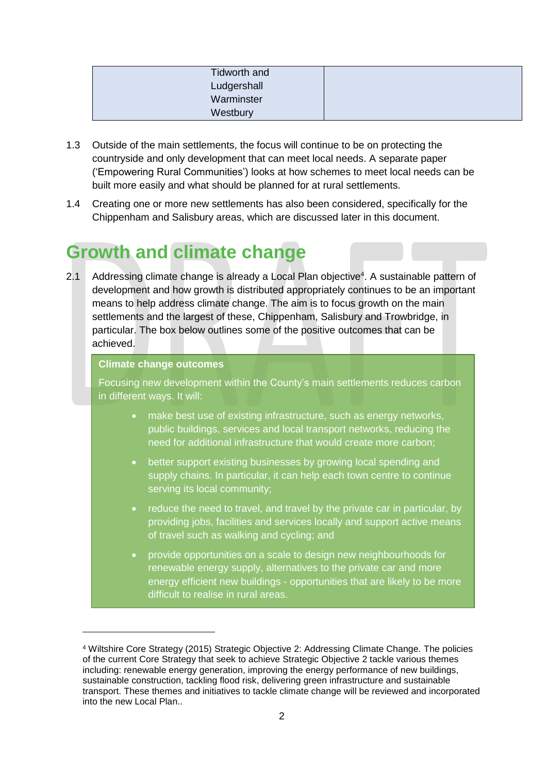| Tidworth and |  |
|--------------|--|
| Ludgershall  |  |
| Warminster   |  |
| Westbury     |  |

- 1.3 Outside of the main settlements, the focus will continue to be on protecting the countryside and only development that can meet local needs. A separate paper ('Empowering Rural Communities') looks at how schemes to meet local needs can be built more easily and what should be planned for at rural settlements.
- 1.4 Creating one or more new settlements has also been considered, specifically for the Chippenham and Salisbury areas, which are discussed later in this document.

# **Growth and climate change**

2.1 Addressing climate change is already a Local Plan objective<sup>4</sup>. A sustainable pattern of development and how growth is distributed appropriately continues to be an important means to help address climate change. The aim is to focus growth on the main settlements and the largest of these, Chippenham, Salisbury and Trowbridge, in particular. The box below outlines some of the positive outcomes that can be achieved.

#### **Climate change outcomes**

-

Focusing new development within the County's main settlements reduces carbon in different ways. It will:

- make best use of existing infrastructure, such as energy networks, public buildings, services and local transport networks, reducing the need for additional infrastructure that would create more carbon;
- better support existing businesses by growing local spending and supply chains. In particular, it can help each town centre to continue serving its local community:
- reduce the need to travel, and travel by the private car in particular, by providing jobs, facilities and services locally and support active means of travel such as walking and cycling; and
- provide opportunities on a scale to design new neighbourhoods for renewable energy supply, alternatives to the private car and more energy efficient new buildings - opportunities that are likely to be more difficult to realise in rural areas.

<sup>4</sup> Wiltshire Core Strategy (2015) Strategic Objective 2: Addressing Climate Change. The policies of the current Core Strategy that seek to achieve Strategic Objective 2 tackle various themes including: renewable energy generation, improving the energy performance of new buildings, sustainable construction, tackling flood risk, delivering green infrastructure and sustainable transport. These themes and initiatives to tackle climate change will be reviewed and incorporated into the new Local Plan..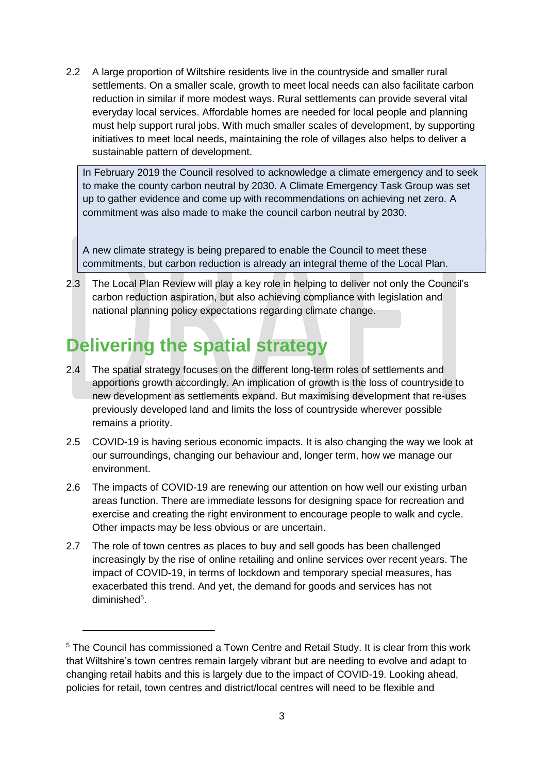2.2 A large proportion of Wiltshire residents live in the countryside and smaller rural settlements. On a smaller scale, growth to meet local needs can also facilitate carbon reduction in similar if more modest ways. Rural settlements can provide several vital everyday local services. Affordable homes are needed for local people and planning must help support rural jobs. With much smaller scales of development, by supporting initiatives to meet local needs, maintaining the role of villages also helps to deliver a sustainable pattern of development.

In February 2019 the Council resolved to acknowledge a climate emergency and to seek to make the county carbon neutral by 2030. A Climate Emergency Task Group was set up to gather evidence and come up with recommendations on achieving net zero. A commitment was also made to make the council carbon neutral by 2030.

A new climate strategy is being prepared to enable the Council to meet these commitments, but carbon reduction is already an integral theme of the Local Plan.

2.3 The Local Plan Review will play a key role in helping to deliver not only the Council's carbon reduction aspiration, but also achieving compliance with legislation and national planning policy expectations regarding climate change.

# **Delivering the spatial strategy**

- 2.4 The spatial strategy focuses on the different long-term roles of settlements and apportions growth accordingly. An implication of growth is the loss of countryside to new development as settlements expand. But maximising development that re-uses previously developed land and limits the loss of countryside wherever possible remains a priority.
- 2.5 COVID-19 is having serious economic impacts. It is also changing the way we look at our surroundings, changing our behaviour and, longer term, how we manage our environment.
- 2.6 The impacts of COVID-19 are renewing our attention on how well our existing urban areas function. There are immediate lessons for designing space for recreation and exercise and creating the right environment to encourage people to walk and cycle. Other impacts may be less obvious or are uncertain.
- 2.7 The role of town centres as places to buy and sell goods has been challenged increasingly by the rise of online retailing and online services over recent years. The impact of COVID-19, in terms of lockdown and temporary special measures, has exacerbated this trend. And yet, the demand for goods and services has not diminished<sup>5</sup>.

<sup>&</sup>lt;sup>5</sup> The Council has commissioned a Town Centre and Retail Study. It is clear from this work that Wiltshire's town centres remain largely vibrant but are needing to evolve and adapt to changing retail habits and this is largely due to the impact of COVID-19. Looking ahead, policies for retail, town centres and district/local centres will need to be flexible and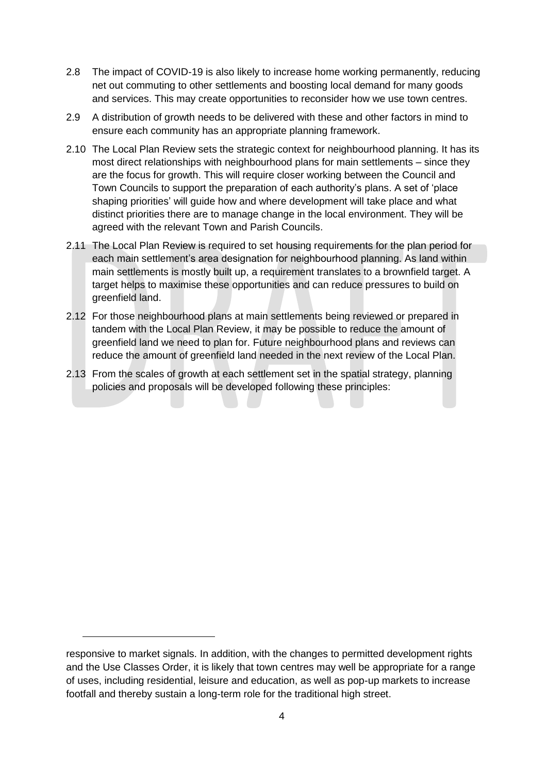- 2.8 The impact of COVID-19 is also likely to increase home working permanently, reducing net out commuting to other settlements and boosting local demand for many goods and services. This may create opportunities to reconsider how we use town centres.
- 2.9 A distribution of growth needs to be delivered with these and other factors in mind to ensure each community has an appropriate planning framework.
- 2.10 The Local Plan Review sets the strategic context for neighbourhood planning. It has its most direct relationships with neighbourhood plans for main settlements – since they are the focus for growth. This will require closer working between the Council and Town Councils to support the preparation of each authority's plans. A set of 'place shaping priorities' will guide how and where development will take place and what distinct priorities there are to manage change in the local environment. They will be agreed with the relevant Town and Parish Councils.
- 2.11 The Local Plan Review is required to set housing requirements for the plan period for each main settlement's area designation for neighbourhood planning. As land within main settlements is mostly built up, a requirement translates to a brownfield target. A target helps to maximise these opportunities and can reduce pressures to build on greenfield land.
- 2.12 For those neighbourhood plans at main settlements being reviewed or prepared in tandem with the Local Plan Review, it may be possible to reduce the amount of greenfield land we need to plan for. Future neighbourhood plans and reviews can reduce the amount of greenfield land needed in the next review of the Local Plan.
- 2.13 From the scales of growth at each settlement set in the spatial strategy, planning policies and proposals will be developed following these principles:

responsive to market signals. In addition, with the changes to permitted development rights and the Use Classes Order, it is likely that town centres may well be appropriate for a range of uses, including residential, leisure and education, as well as pop-up markets to increase footfall and thereby sustain a long-term role for the traditional high street.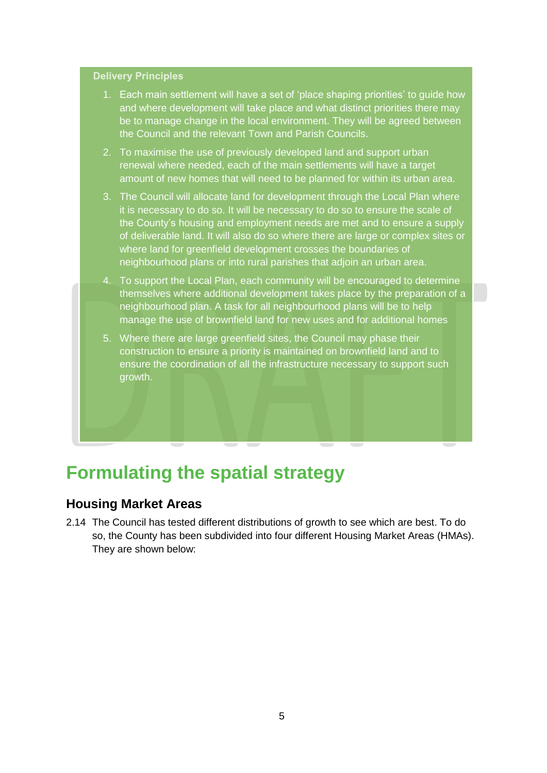#### **Delivery Principles**

- 1. Each main settlement will have a set of 'place shaping priorities' to guide how and where development will take place and what distinct priorities there may be to manage change in the local environment. They will be agreed between the Council and the relevant Town and Parish Councils.
- 2. To maximise the use of previously developed land and support urban renewal where needed, each of the main settlements will have a target amount of new homes that will need to be planned for within its urban area.
- 3. The Council will allocate land for development through the Local Plan where it is necessary to do so. It will be necessary to do so to ensure the scale of the County's housing and employment needs are met and to ensure a supply of deliverable land. It will also do so where there are large or complex sites or where land for greenfield development crosses the boundaries of neighbourhood plans or into rural parishes that adjoin an urban area.
- 4. To support the Local Plan, each community will be encouraged to determine themselves where additional development takes place by the preparation of a neighbourhood plan. A task for all neighbourhood plans will be to help manage the use of brownfield land for new uses and for additional homes
- 5. Where there are large greenfield sites, the Council may phase their construction to ensure a priority is maintained on brownfield land and to ensure the coordination of all the infrastructure necessary to support such growth.

# **Formulating the spatial strategy**

#### **Housing Market Areas**

2.14 The Council has tested different distributions of growth to see which are best. To do so, the County has been subdivided into four different Housing Market Areas (HMAs). They are shown below: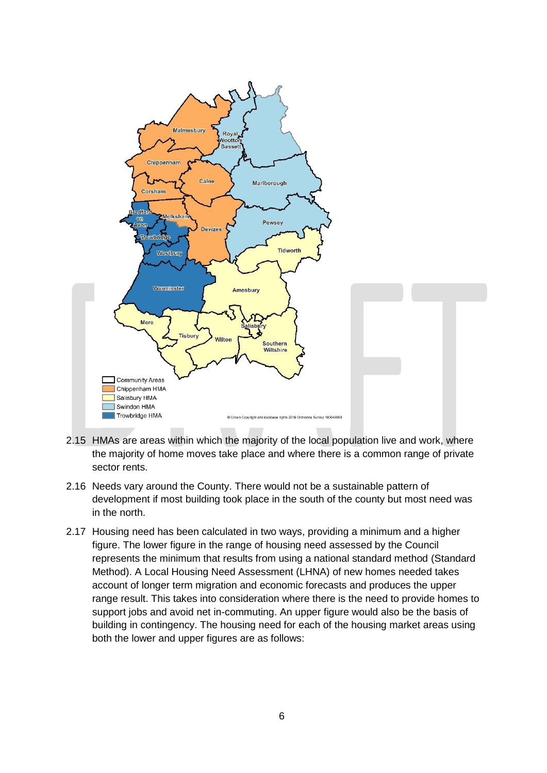

- 2.15 HMAs are areas within which the majority of the local population live and work, where the majority of home moves take place and where there is a common range of private sector rents.
- 2.16 Needs vary around the County. There would not be a sustainable pattern of development if most building took place in the south of the county but most need was in the north.
- 2.17 Housing need has been calculated in two ways, providing a minimum and a higher figure. The lower figure in the range of housing need assessed by the Council represents the minimum that results from using a national standard method (Standard Method). A Local Housing Need Assessment (LHNA) of new homes needed takes account of longer term migration and economic forecasts and produces the upper range result. This takes into consideration where there is the need to provide homes to support jobs and avoid net in-commuting. An upper figure would also be the basis of building in contingency. The housing need for each of the housing market areas using both the lower and upper figures are as follows: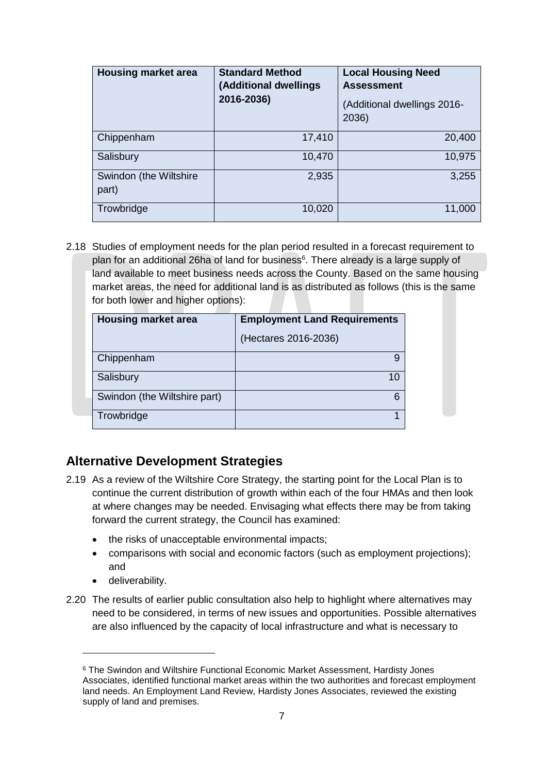| <b>Housing market area</b>      | <b>Standard Method</b><br>(Additional dwellings<br>2016-2036) | <b>Local Housing Need</b><br><b>Assessment</b><br>(Additional dwellings 2016-<br>2036) |
|---------------------------------|---------------------------------------------------------------|----------------------------------------------------------------------------------------|
| Chippenham                      | 17,410                                                        | 20,400                                                                                 |
| Salisbury                       | 10,470                                                        | 10,975                                                                                 |
| Swindon (the Wiltshire<br>part) | 2,935                                                         | 3,255                                                                                  |
| Trowbridge                      | 10,020                                                        | 11,000                                                                                 |

2.18 Studies of employment needs for the plan period resulted in a forecast requirement to plan for an additional 26ha of land for business<sup>6</sup>. There already is a large supply of land available to meet business needs across the County. Based on the same housing market areas, the need for additional land is as distributed as follows (this is the same for both lower and higher options):

| <b>Housing market area</b>   | <b>Employment Land Requirements</b> |
|------------------------------|-------------------------------------|
|                              | (Hectares 2016-2036)                |
| Chippenham                   | 9                                   |
| Salisbury                    | 10                                  |
| Swindon (the Wiltshire part) | 6                                   |
| Trowbridge                   |                                     |

## **Alternative Development Strategies**

- 2.19 As a review of the Wiltshire Core Strategy, the starting point for the Local Plan is to continue the current distribution of growth within each of the four HMAs and then look at where changes may be needed. Envisaging what effects there may be from taking forward the current strategy, the Council has examined:
	- the risks of unacceptable environmental impacts;
	- comparisons with social and economic factors (such as employment projections); and
	- deliverability.

-

2.20 The results of earlier public consultation also help to highlight where alternatives may need to be considered, in terms of new issues and opportunities. Possible alternatives are also influenced by the capacity of local infrastructure and what is necessary to

<sup>6</sup> The Swindon and Wiltshire Functional Economic Market Assessment, Hardisty Jones Associates, identified functional market areas within the two authorities and forecast employment land needs. An Employment Land Review, Hardisty Jones Associates, reviewed the existing supply of land and premises.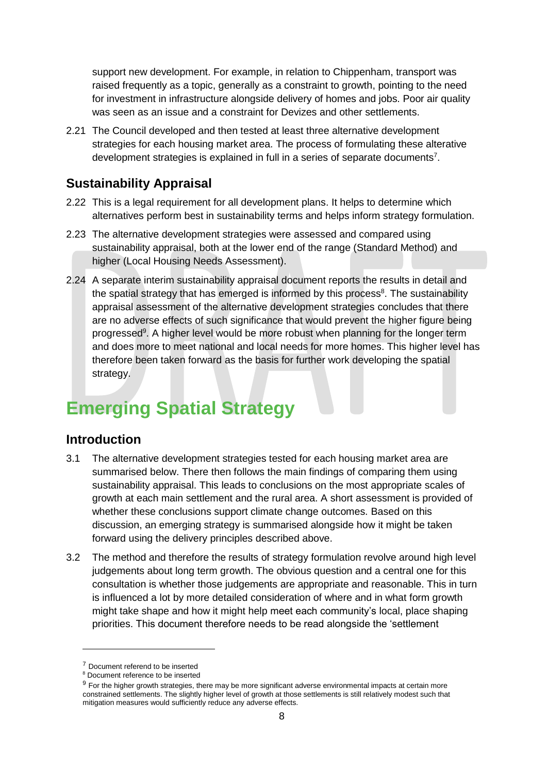support new development. For example, in relation to Chippenham, transport was raised frequently as a topic, generally as a constraint to growth, pointing to the need for investment in infrastructure alongside delivery of homes and jobs. Poor air quality was seen as an issue and a constraint for Devizes and other settlements.

2.21 The Council developed and then tested at least three alternative development strategies for each housing market area. The process of formulating these alterative development strategies is explained in full in a series of separate documents<sup>7</sup>.

## **Sustainability Appraisal**

- 2.22 This is a legal requirement for all development plans. It helps to determine which alternatives perform best in sustainability terms and helps inform strategy formulation.
- 2.23 The alternative development strategies were assessed and compared using sustainability appraisal, both at the lower end of the range (Standard Method) and higher (Local Housing Needs Assessment).
- 2.24 A separate interim sustainability appraisal document reports the results in detail and the spatial strategy that has emerged is informed by this process<sup>8</sup>. The sustainability appraisal assessment of the alternative development strategies concludes that there are no adverse effects of such significance that would prevent the higher figure being progressed<sup>9</sup>. A higher level would be more robust when planning for the longer term and does more to meet national and local needs for more homes. This higher level has therefore been taken forward as the basis for further work developing the spatial strategy.

# **Emerging Spatial Strategy**

#### **Introduction**

- 3.1 The alternative development strategies tested for each housing market area are summarised below. There then follows the main findings of comparing them using sustainability appraisal. This leads to conclusions on the most appropriate scales of growth at each main settlement and the rural area. A short assessment is provided of whether these conclusions support climate change outcomes. Based on this discussion, an emerging strategy is summarised alongside how it might be taken forward using the delivery principles described above.
- 3.2 The method and therefore the results of strategy formulation revolve around high level judgements about long term growth. The obvious question and a central one for this consultation is whether those judgements are appropriate and reasonable. This in turn is influenced a lot by more detailed consideration of where and in what form growth might take shape and how it might help meet each community's local, place shaping priorities. This document therefore needs to be read alongside the 'settlement

<sup>7</sup> Document referend to be inserted

<sup>8</sup> Document reference to be inserted

<sup>&</sup>lt;sup>9</sup> For the higher growth strategies, there may be more significant adverse environmental impacts at certain more constrained settlements. The slightly higher level of growth at those settlements is still relatively modest such that mitigation measures would sufficiently reduce any adverse effects.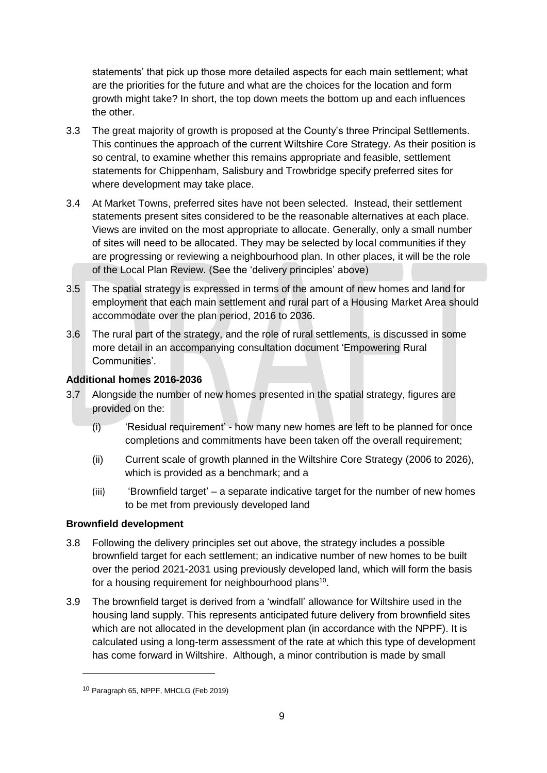statements' that pick up those more detailed aspects for each main settlement; what are the priorities for the future and what are the choices for the location and form growth might take? In short, the top down meets the bottom up and each influences the other.

- 3.3 The great majority of growth is proposed at the County's three Principal Settlements. This continues the approach of the current Wiltshire Core Strategy. As their position is so central, to examine whether this remains appropriate and feasible, settlement statements for Chippenham, Salisbury and Trowbridge specify preferred sites for where development may take place.
- 3.4 At Market Towns, preferred sites have not been selected. Instead, their settlement statements present sites considered to be the reasonable alternatives at each place. Views are invited on the most appropriate to allocate. Generally, only a small number of sites will need to be allocated. They may be selected by local communities if they are progressing or reviewing a neighbourhood plan. In other places, it will be the role of the Local Plan Review. (See the 'delivery principles' above)
- 3.5 The spatial strategy is expressed in terms of the amount of new homes and land for employment that each main settlement and rural part of a Housing Market Area should accommodate over the plan period, 2016 to 2036.
- 3.6 The rural part of the strategy, and the role of rural settlements, is discussed in some more detail in an accompanying consultation document 'Empowering Rural Communities'.

#### **Additional homes 2016-2036**

- 3.7 Alongside the number of new homes presented in the spatial strategy, figures are provided on the:
	- (i) 'Residual requirement' how many new homes are left to be planned for once completions and commitments have been taken off the overall requirement;
	- (ii) Current scale of growth planned in the Wiltshire Core Strategy (2006 to 2026), which is provided as a benchmark; and a
	- $(iii)$  'Brownfield target' a separate indicative target for the number of new homes to be met from previously developed land

#### **Brownfield development**

- 3.8 Following the delivery principles set out above, the strategy includes a possible brownfield target for each settlement; an indicative number of new homes to be built over the period 2021-2031 using previously developed land, which will form the basis for a housing requirement for neighbourhood plans<sup>10</sup>.
- 3.9 The brownfield target is derived from a 'windfall' allowance for Wiltshire used in the housing land supply. This represents anticipated future delivery from brownfield sites which are not allocated in the development plan (in accordance with the NPPF). It is calculated using a long-term assessment of the rate at which this type of development has come forward in Wiltshire. Although, a minor contribution is made by small

<sup>10</sup> Paragraph 65, NPPF, MHCLG (Feb 2019)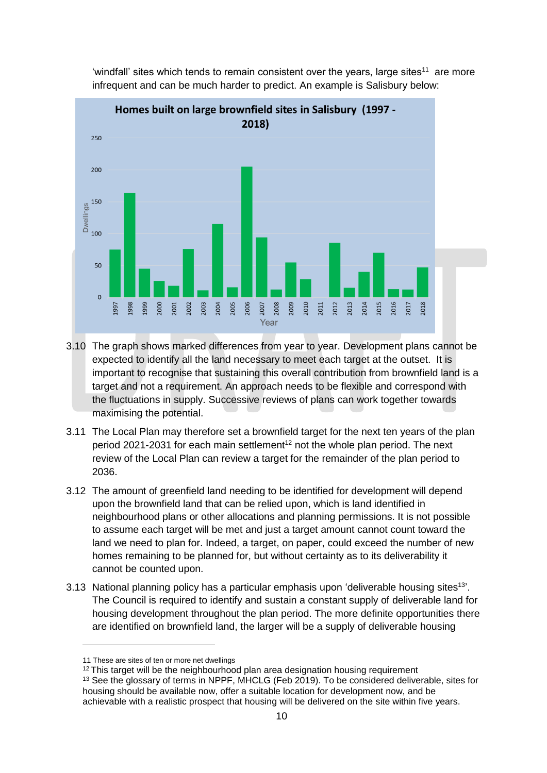

'windfall' sites which tends to remain consistent over the years, large sites<sup>11</sup> are more infrequent and can be much harder to predict. An example is Salisbury below:

- 3.10 The graph shows marked differences from year to year. Development plans cannot be expected to identify all the land necessary to meet each target at the outset. It is important to recognise that sustaining this overall contribution from brownfield land is a target and not a requirement. An approach needs to be flexible and correspond with the fluctuations in supply. Successive reviews of plans can work together towards maximising the potential.
- 3.11 The Local Plan may therefore set a brownfield target for the next ten years of the plan period 2021-2031 for each main settlement<sup>12</sup> not the whole plan period. The next review of the Local Plan can review a target for the remainder of the plan period to 2036.
- 3.12 The amount of greenfield land needing to be identified for development will depend upon the brownfield land that can be relied upon, which is land identified in neighbourhood plans or other allocations and planning permissions. It is not possible to assume each target will be met and just a target amount cannot count toward the land we need to plan for. Indeed, a target, on paper, could exceed the number of new homes remaining to be planned for, but without certainty as to its deliverability it cannot be counted upon.
- 3.13 National planning policy has a particular emphasis upon 'deliverable housing sites<sup>13'</sup>. The Council is required to identify and sustain a constant supply of deliverable land for housing development throughout the plan period. The more definite opportunities there are identified on brownfield land, the larger will be a supply of deliverable housing

<sup>11</sup> These are sites of ten or more net dwellings

 $12$  This target will be the neighbourhood plan area designation housing requirement <sup>13</sup> See the glossary of terms in NPPF, MHCLG (Feb 2019). To be considered deliverable, sites for housing should be available now, offer a suitable location for development now, and be achievable with a realistic prospect that housing will be delivered on the site within five years.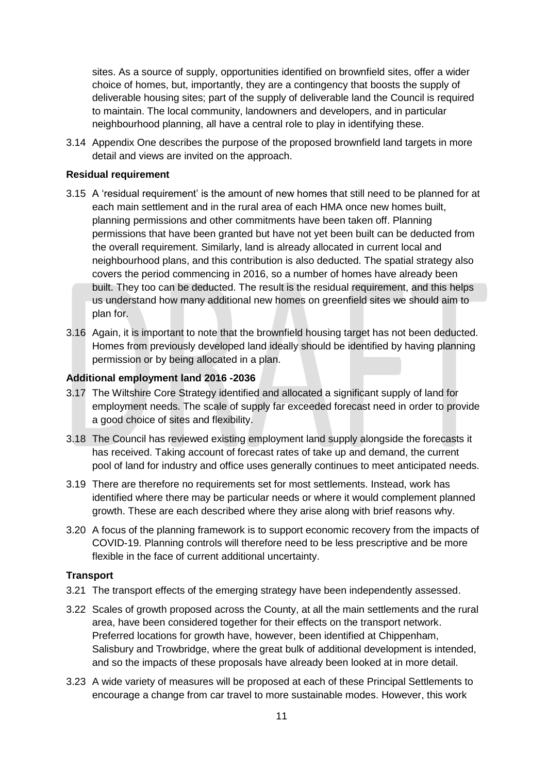sites. As a source of supply, opportunities identified on brownfield sites, offer a wider choice of homes, but, importantly, they are a contingency that boosts the supply of deliverable housing sites; part of the supply of deliverable land the Council is required to maintain. The local community, landowners and developers, and in particular neighbourhood planning, all have a central role to play in identifying these.

3.14 Appendix One describes the purpose of the proposed brownfield land targets in more detail and views are invited on the approach.

#### **Residual requirement**

- 3.15 A 'residual requirement' is the amount of new homes that still need to be planned for at each main settlement and in the rural area of each HMA once new homes built, planning permissions and other commitments have been taken off. Planning permissions that have been granted but have not yet been built can be deducted from the overall requirement. Similarly, land is already allocated in current local and neighbourhood plans, and this contribution is also deducted. The spatial strategy also covers the period commencing in 2016, so a number of homes have already been built. They too can be deducted. The result is the residual requirement, and this helps us understand how many additional new homes on greenfield sites we should aim to plan for.
- 3.16 Again, it is important to note that the brownfield housing target has not been deducted. Homes from previously developed land ideally should be identified by having planning permission or by being allocated in a plan.

#### **Additional employment land 2016 -2036**

- 3.17 The Wiltshire Core Strategy identified and allocated a significant supply of land for employment needs. The scale of supply far exceeded forecast need in order to provide a good choice of sites and flexibility.
- 3.18 The Council has reviewed existing employment land supply alongside the forecasts it has received. Taking account of forecast rates of take up and demand, the current pool of land for industry and office uses generally continues to meet anticipated needs.
- 3.19 There are therefore no requirements set for most settlements. Instead, work has identified where there may be particular needs or where it would complement planned growth. These are each described where they arise along with brief reasons why.
- 3.20 A focus of the planning framework is to support economic recovery from the impacts of COVID-19. Planning controls will therefore need to be less prescriptive and be more flexible in the face of current additional uncertainty.

#### **Transport**

- 3.21 The transport effects of the emerging strategy have been independently assessed.
- 3.22 Scales of growth proposed across the County, at all the main settlements and the rural area, have been considered together for their effects on the transport network. Preferred locations for growth have, however, been identified at Chippenham, Salisbury and Trowbridge, where the great bulk of additional development is intended, and so the impacts of these proposals have already been looked at in more detail.
- 3.23 A wide variety of measures will be proposed at each of these Principal Settlements to encourage a change from car travel to more sustainable modes. However, this work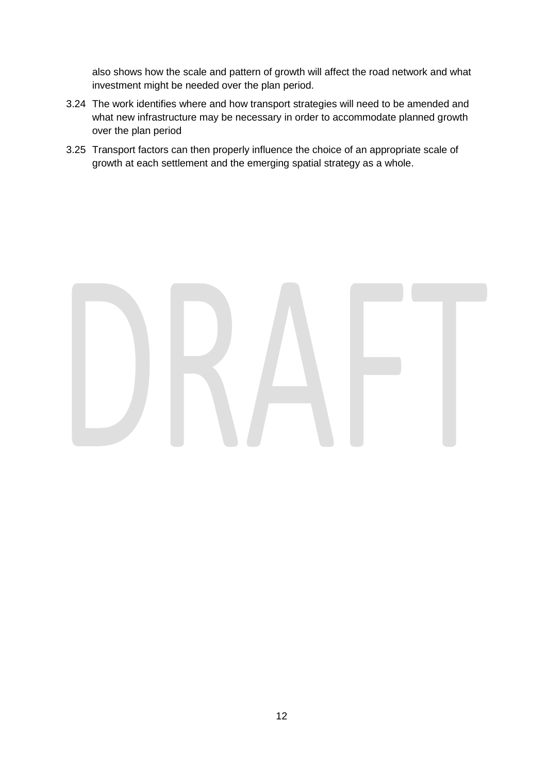also shows how the scale and pattern of growth will affect the road network and what investment might be needed over the plan period.

- 3.24 The work identifies where and how transport strategies will need to be amended and what new infrastructure may be necessary in order to accommodate planned growth over the plan period
- 3.25 Transport factors can then properly influence the choice of an appropriate scale of growth at each settlement and the emerging spatial strategy as a whole.

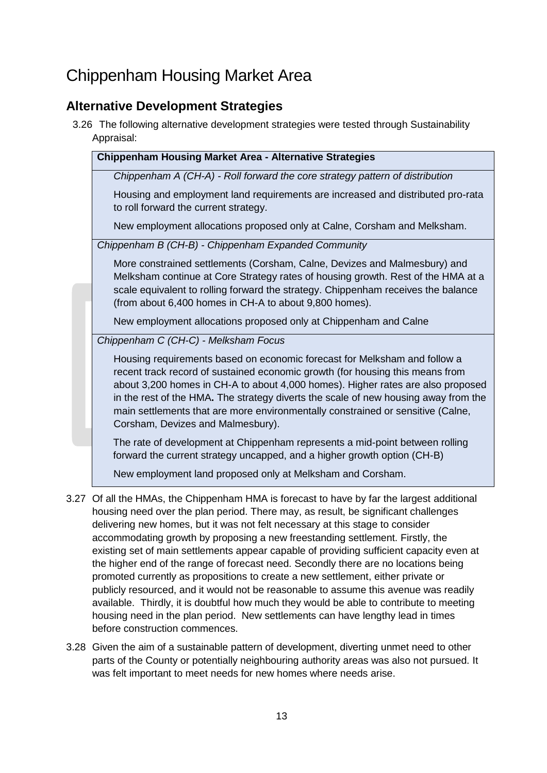# Chippenham Housing Market Area

## **Alternative Development Strategies**

3.26 The following alternative development strategies were tested through Sustainability Appraisal:

| ippiuloui.                                                                                                                                                                                                                                                                                                                                                                                                                                                   |  |
|--------------------------------------------------------------------------------------------------------------------------------------------------------------------------------------------------------------------------------------------------------------------------------------------------------------------------------------------------------------------------------------------------------------------------------------------------------------|--|
| <b>Chippenham Housing Market Area - Alternative Strategies</b>                                                                                                                                                                                                                                                                                                                                                                                               |  |
| Chippenham A (CH-A) - Roll forward the core strategy pattern of distribution                                                                                                                                                                                                                                                                                                                                                                                 |  |
| Housing and employment land requirements are increased and distributed pro-rata<br>to roll forward the current strategy.                                                                                                                                                                                                                                                                                                                                     |  |
| New employment allocations proposed only at Calne, Corsham and Melksham.                                                                                                                                                                                                                                                                                                                                                                                     |  |
| Chippenham B (CH-B) - Chippenham Expanded Community                                                                                                                                                                                                                                                                                                                                                                                                          |  |
| More constrained settlements (Corsham, Calne, Devizes and Malmesbury) and<br>Melksham continue at Core Strategy rates of housing growth. Rest of the HMA at a<br>scale equivalent to rolling forward the strategy. Chippenham receives the balance<br>(from about 6,400 homes in CH-A to about 9,800 homes).                                                                                                                                                 |  |
| New employment allocations proposed only at Chippenham and Calne                                                                                                                                                                                                                                                                                                                                                                                             |  |
| Chippenham C (CH-C) - Melksham Focus                                                                                                                                                                                                                                                                                                                                                                                                                         |  |
| Housing requirements based on economic forecast for Melksham and follow a<br>recent track record of sustained economic growth (for housing this means from<br>about 3,200 homes in CH-A to about 4,000 homes). Higher rates are also proposed<br>in the rest of the HMA. The strategy diverts the scale of new housing away from the<br>main settlements that are more environmentally constrained or sensitive (Calne,<br>Corsham, Devizes and Malmesbury). |  |
| The rate of development at Chippenham represents a mid-point between rolling<br>forward the current strategy uncapped, and a higher growth option (CH-B)                                                                                                                                                                                                                                                                                                     |  |
| New employment land proposed only at Melksham and Corsham.                                                                                                                                                                                                                                                                                                                                                                                                   |  |

- 3.27 Of all the HMAs, the Chippenham HMA is forecast to have by far the largest additional housing need over the plan period. There may, as result, be significant challenges delivering new homes, but it was not felt necessary at this stage to consider accommodating growth by proposing a new freestanding settlement. Firstly, the existing set of main settlements appear capable of providing sufficient capacity even at the higher end of the range of forecast need. Secondly there are no locations being promoted currently as propositions to create a new settlement, either private or publicly resourced, and it would not be reasonable to assume this avenue was readily available. Thirdly, it is doubtful how much they would be able to contribute to meeting housing need in the plan period. New settlements can have lengthy lead in times before construction commences.
- 3.28 Given the aim of a sustainable pattern of development, diverting unmet need to other parts of the County or potentially neighbouring authority areas was also not pursued. It was felt important to meet needs for new homes where needs arise.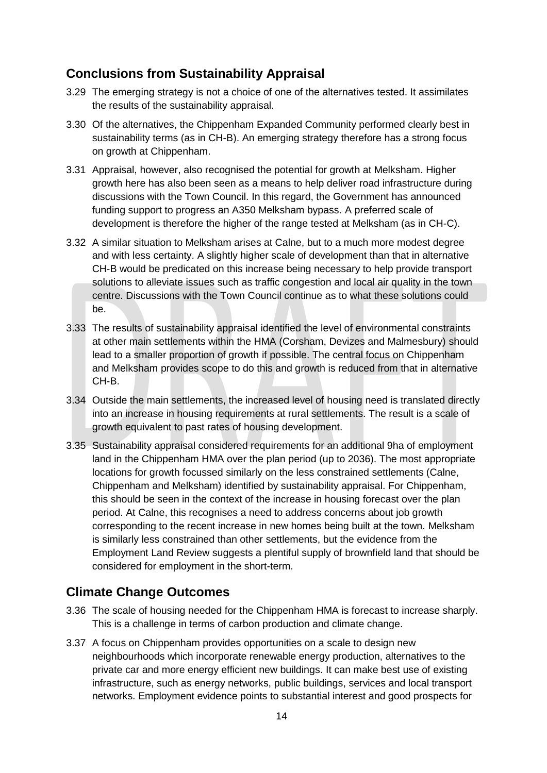## **Conclusions from Sustainability Appraisal**

- 3.29 The emerging strategy is not a choice of one of the alternatives tested. It assimilates the results of the sustainability appraisal.
- 3.30 Of the alternatives, the Chippenham Expanded Community performed clearly best in sustainability terms (as in CH-B). An emerging strategy therefore has a strong focus on growth at Chippenham.
- 3.31 Appraisal, however, also recognised the potential for growth at Melksham. Higher growth here has also been seen as a means to help deliver road infrastructure during discussions with the Town Council. In this regard, the Government has announced funding support to progress an A350 Melksham bypass. A preferred scale of development is therefore the higher of the range tested at Melksham (as in CH-C).
- 3.32 A similar situation to Melksham arises at Calne, but to a much more modest degree and with less certainty. A slightly higher scale of development than that in alternative CH-B would be predicated on this increase being necessary to help provide transport solutions to alleviate issues such as traffic congestion and local air quality in the town centre. Discussions with the Town Council continue as to what these solutions could be.
- 3.33 The results of sustainability appraisal identified the level of environmental constraints at other main settlements within the HMA (Corsham, Devizes and Malmesbury) should lead to a smaller proportion of growth if possible. The central focus on Chippenham and Melksham provides scope to do this and growth is reduced from that in alternative CH-B.
- 3.34 Outside the main settlements, the increased level of housing need is translated directly into an increase in housing requirements at rural settlements. The result is a scale of growth equivalent to past rates of housing development.
- 3.35 Sustainability appraisal considered requirements for an additional 9ha of employment land in the Chippenham HMA over the plan period (up to 2036). The most appropriate locations for growth focussed similarly on the less constrained settlements (Calne, Chippenham and Melksham) identified by sustainability appraisal. For Chippenham, this should be seen in the context of the increase in housing forecast over the plan period. At Calne, this recognises a need to address concerns about job growth corresponding to the recent increase in new homes being built at the town. Melksham is similarly less constrained than other settlements, but the evidence from the Employment Land Review suggests a plentiful supply of brownfield land that should be considered for employment in the short-term.

## **Climate Change Outcomes**

- 3.36 The scale of housing needed for the Chippenham HMA is forecast to increase sharply. This is a challenge in terms of carbon production and climate change.
- 3.37 A focus on Chippenham provides opportunities on a scale to design new neighbourhoods which incorporate renewable energy production, alternatives to the private car and more energy efficient new buildings. It can make best use of existing infrastructure, such as energy networks, public buildings, services and local transport networks. Employment evidence points to substantial interest and good prospects for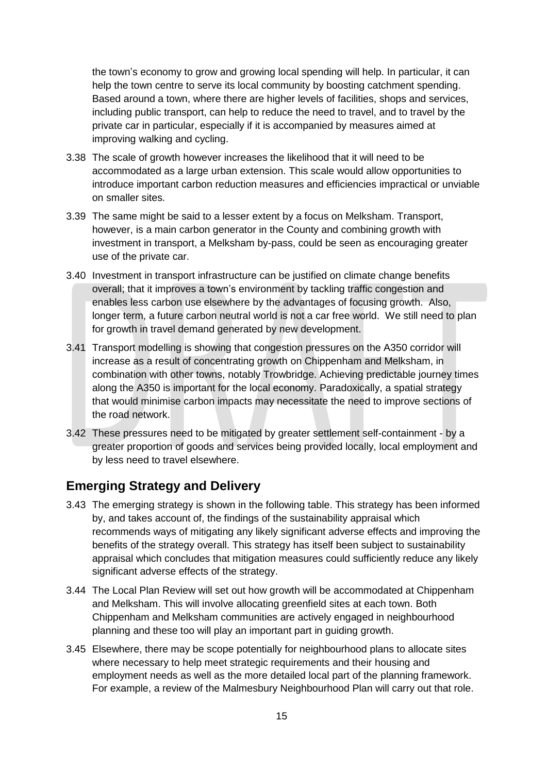the town's economy to grow and growing local spending will help. In particular, it can help the town centre to serve its local community by boosting catchment spending. Based around a town, where there are higher levels of facilities, shops and services, including public transport, can help to reduce the need to travel, and to travel by the private car in particular, especially if it is accompanied by measures aimed at improving walking and cycling.

- 3.38 The scale of growth however increases the likelihood that it will need to be accommodated as a large urban extension. This scale would allow opportunities to introduce important carbon reduction measures and efficiencies impractical or unviable on smaller sites.
- 3.39 The same might be said to a lesser extent by a focus on Melksham. Transport, however, is a main carbon generator in the County and combining growth with investment in transport, a Melksham by-pass, could be seen as encouraging greater use of the private car.
- 3.40 Investment in transport infrastructure can be justified on climate change benefits overall; that it improves a town's environment by tackling traffic congestion and enables less carbon use elsewhere by the advantages of focusing growth. Also, longer term, a future carbon neutral world is not a car free world. We still need to plan for growth in travel demand generated by new development.
- 3.41 Transport modelling is showing that congestion pressures on the A350 corridor will increase as a result of concentrating growth on Chippenham and Melksham, in combination with other towns, notably Trowbridge. Achieving predictable journey times along the A350 is important for the local economy. Paradoxically, a spatial strategy that would minimise carbon impacts may necessitate the need to improve sections of the road network.
- 3.42 These pressures need to be mitigated by greater settlement self-containment by a greater proportion of goods and services being provided locally, local employment and by less need to travel elsewhere.

## **Emerging Strategy and Delivery**

- 3.43 The emerging strategy is shown in the following table. This strategy has been informed by, and takes account of, the findings of the sustainability appraisal which recommends ways of mitigating any likely significant adverse effects and improving the benefits of the strategy overall. This strategy has itself been subject to sustainability appraisal which concludes that mitigation measures could sufficiently reduce any likely significant adverse effects of the strategy.
- 3.44 The Local Plan Review will set out how growth will be accommodated at Chippenham and Melksham. This will involve allocating greenfield sites at each town. Both Chippenham and Melksham communities are actively engaged in neighbourhood planning and these too will play an important part in guiding growth.
- 3.45 Elsewhere, there may be scope potentially for neighbourhood plans to allocate sites where necessary to help meet strategic requirements and their housing and employment needs as well as the more detailed local part of the planning framework. For example, a review of the Malmesbury Neighbourhood Plan will carry out that role.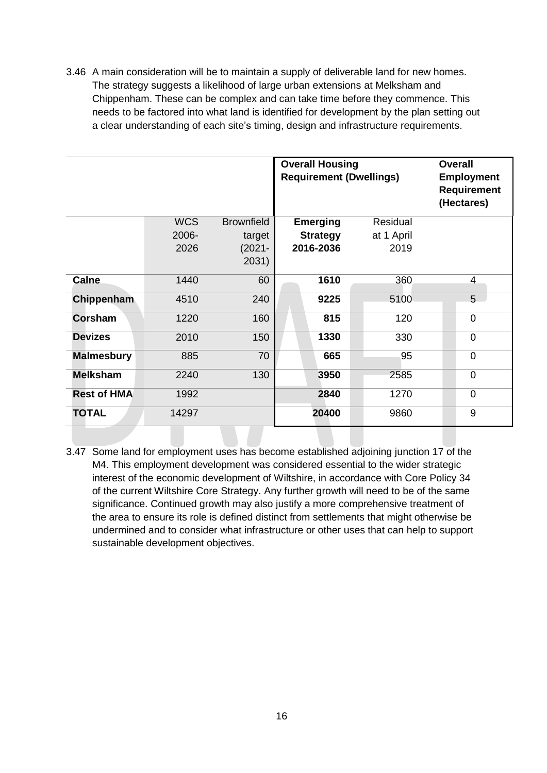3.46 A main consideration will be to maintain a supply of deliverable land for new homes. The strategy suggests a likelihood of large urban extensions at Melksham and Chippenham. These can be complex and can take time before they commence. This needs to be factored into what land is identified for development by the plan setting out a clear understanding of each site's timing, design and infrastructure requirements.

|                    |            |                   | <b>Overall Housing</b><br><b>Requirement (Dwellings)</b> | <b>Overall</b><br><b>Employment</b><br><b>Requirement</b><br>(Hectares) |                |
|--------------------|------------|-------------------|----------------------------------------------------------|-------------------------------------------------------------------------|----------------|
|                    | <b>WCS</b> | <b>Brownfield</b> | <b>Emerging</b>                                          | Residual                                                                |                |
|                    | 2006-      | target            | <b>Strategy</b>                                          | at 1 April                                                              |                |
|                    | 2026       | $(2021 -$         | 2016-2036                                                | 2019                                                                    |                |
|                    |            | 2031)             |                                                          |                                                                         |                |
| Calne              | 1440       | 60                | 1610                                                     | 360                                                                     | $\overline{4}$ |
| Chippenham         | 4510       | 240               | 9225                                                     | 5100                                                                    | 5              |
| Corsham            | 1220       | 160               | 815                                                      | 120                                                                     | $\overline{0}$ |
| <b>Devizes</b>     | 2010       | 150               | 1330                                                     | 330                                                                     | $\mathbf 0$    |
| <b>Malmesbury</b>  | 885        | 70                | 665                                                      | 95                                                                      | $\mathbf 0$    |
| <b>Melksham</b>    | 2240       | 130               | 3950                                                     | 2585                                                                    | $\mathbf 0$    |
| <b>Rest of HMA</b> | 1992       |                   | 2840                                                     | 1270                                                                    | $\overline{0}$ |
| <b>TOTAL</b>       | 14297      |                   | 20400                                                    | 9860                                                                    | 9              |

3.47 Some land for employment uses has become established adjoining junction 17 of the M4. This employment development was considered essential to the wider strategic interest of the economic development of Wiltshire, in accordance with Core Policy 34 of the current Wiltshire Core Strategy. Any further growth will need to be of the same significance. Continued growth may also justify a more comprehensive treatment of the area to ensure its role is defined distinct from settlements that might otherwise be undermined and to consider what infrastructure or other uses that can help to support sustainable development objectives.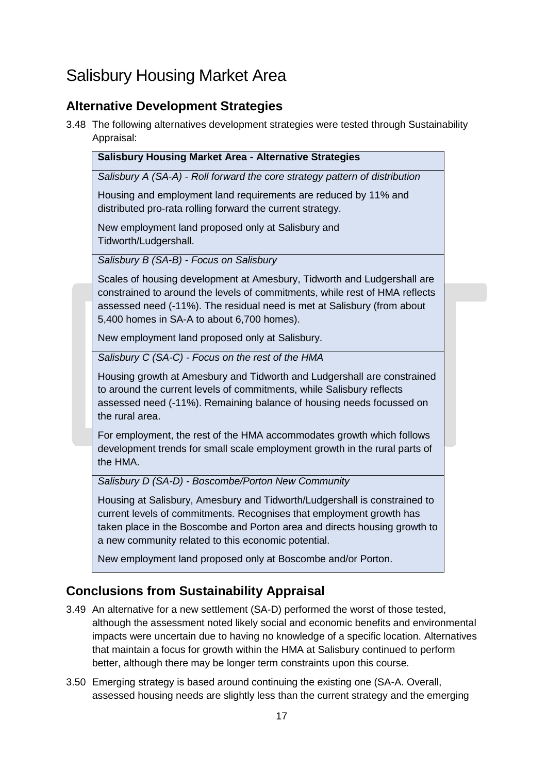# Salisbury Housing Market Area

## **Alternative Development Strategies**

3.48 The following alternatives development strategies were tested through Sustainability  $\overline{A}$ 

| <b>Salisbury Housing Market Area - Alternative Strategies</b>                                                                                                                                                                                                                         |  |
|---------------------------------------------------------------------------------------------------------------------------------------------------------------------------------------------------------------------------------------------------------------------------------------|--|
| Salisbury A (SA-A) - Roll forward the core strategy pattern of distribution                                                                                                                                                                                                           |  |
| Housing and employment land requirements are reduced by 11% and<br>distributed pro-rata rolling forward the current strategy.                                                                                                                                                         |  |
| New employment land proposed only at Salisbury and<br>Tidworth/Ludgershall.                                                                                                                                                                                                           |  |
| Salisbury B (SA-B) - Focus on Salisbury                                                                                                                                                                                                                                               |  |
| Scales of housing development at Amesbury, Tidworth and Ludgershall are<br>constrained to around the levels of commitments, while rest of HMA reflects                                                                                                                                |  |
| assessed need (-11%). The residual need is met at Salisbury (from about<br>5,400 homes in SA-A to about 6,700 homes).                                                                                                                                                                 |  |
| New employment land proposed only at Salisbury.                                                                                                                                                                                                                                       |  |
| Salisbury C (SA-C) - Focus on the rest of the HMA                                                                                                                                                                                                                                     |  |
| Housing growth at Amesbury and Tidworth and Ludgershall are constrained<br>to around the current levels of commitments, while Salisbury reflects<br>assessed need (-11%). Remaining balance of housing needs focussed on<br>the rural area.                                           |  |
| For employment, the rest of the HMA accommodates growth which follows<br>development trends for small scale employment growth in the rural parts of<br>the HMA.                                                                                                                       |  |
| Salisbury D (SA-D) - Boscombe/Porton New Community                                                                                                                                                                                                                                    |  |
| Housing at Salisbury, Amesbury and Tidworth/Ludgershall is constrained to<br>current levels of commitments. Recognises that employment growth has<br>taken place in the Boscombe and Porton area and directs housing growth to<br>a new community related to this economic potential. |  |
| New employment land proposed only at Boscombe and/or Porton.                                                                                                                                                                                                                          |  |

## **Conclusions from Sustainability Appraisal**

- 3.49 An alternative for a new settlement (SA-D) performed the worst of those tested, although the assessment noted likely social and economic benefits and environmental impacts were uncertain due to having no knowledge of a specific location. Alternatives that maintain a focus for growth within the HMA at Salisbury continued to perform better, although there may be longer term constraints upon this course.
- 3.50 Emerging strategy is based around continuing the existing one (SA-A. Overall, assessed housing needs are slightly less than the current strategy and the emerging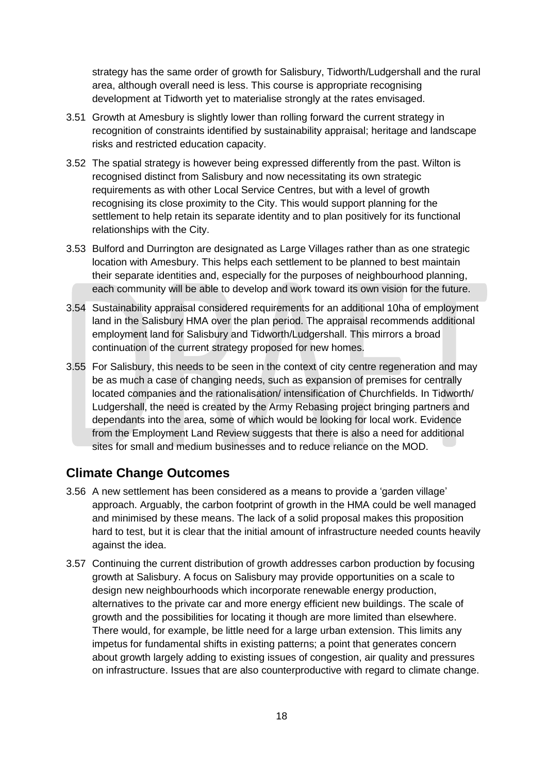strategy has the same order of growth for Salisbury, Tidworth/Ludgershall and the rural area, although overall need is less. This course is appropriate recognising development at Tidworth yet to materialise strongly at the rates envisaged.

- 3.51 Growth at Amesbury is slightly lower than rolling forward the current strategy in recognition of constraints identified by sustainability appraisal; heritage and landscape risks and restricted education capacity.
- 3.52 The spatial strategy is however being expressed differently from the past. Wilton is recognised distinct from Salisbury and now necessitating its own strategic requirements as with other Local Service Centres, but with a level of growth recognising its close proximity to the City. This would support planning for the settlement to help retain its separate identity and to plan positively for its functional relationships with the City.
- 3.53 Bulford and Durrington are designated as Large Villages rather than as one strategic location with Amesbury. This helps each settlement to be planned to best maintain their separate identities and, especially for the purposes of neighbourhood planning, each community will be able to develop and work toward its own vision for the future.
- 3.54 Sustainability appraisal considered requirements for an additional 10ha of employment land in the Salisbury HMA over the plan period. The appraisal recommends additional employment land for Salisbury and Tidworth/Ludgershall. This mirrors a broad continuation of the current strategy proposed for new homes.
- 3.55 For Salisbury, this needs to be seen in the context of city centre regeneration and may be as much a case of changing needs, such as expansion of premises for centrally located companies and the rationalisation/ intensification of Churchfields. In Tidworth/ Ludgershall, the need is created by the Army Rebasing project bringing partners and dependants into the area, some of which would be looking for local work. Evidence from the Employment Land Review suggests that there is also a need for additional sites for small and medium businesses and to reduce reliance on the MOD.

#### **Climate Change Outcomes**

- 3.56 A new settlement has been considered as a means to provide a 'garden village' approach. Arguably, the carbon footprint of growth in the HMA could be well managed and minimised by these means. The lack of a solid proposal makes this proposition hard to test, but it is clear that the initial amount of infrastructure needed counts heavily against the idea.
- 3.57 Continuing the current distribution of growth addresses carbon production by focusing growth at Salisbury. A focus on Salisbury may provide opportunities on a scale to design new neighbourhoods which incorporate renewable energy production, alternatives to the private car and more energy efficient new buildings. The scale of growth and the possibilities for locating it though are more limited than elsewhere. There would, for example, be little need for a large urban extension. This limits any impetus for fundamental shifts in existing patterns; a point that generates concern about growth largely adding to existing issues of congestion, air quality and pressures on infrastructure. Issues that are also counterproductive with regard to climate change.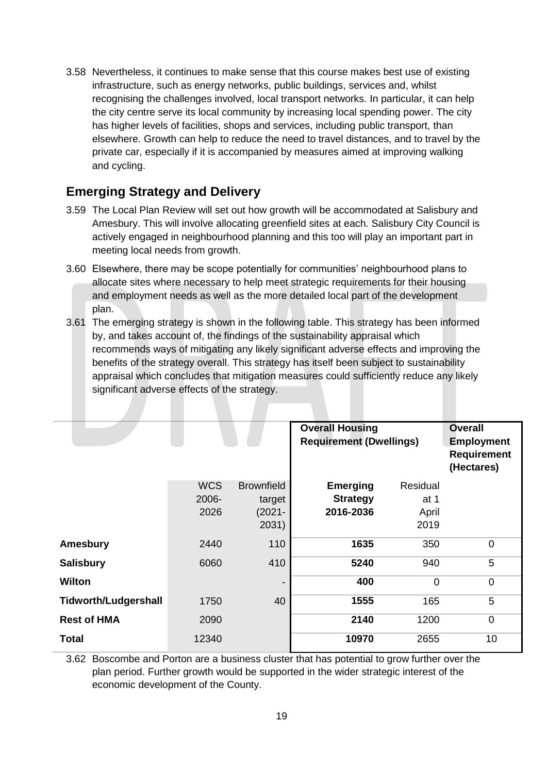3.58 Nevertheless, it continues to make sense that this course makes best use of existing infrastructure, such as energy networks, public buildings, services and, whilst recognising the challenges involved, local transport networks. In particular, it can help the city centre serve its local community by increasing local spending power. The city has higher levels of facilities, shops and services, including public transport, than elsewhere. Growth can help to reduce the need to travel distances, and to travel by the private car, especially if it is accompanied by measures aimed at improving walking and cycling.

## **Emerging Strategy and Delivery**

- 3.59 The Local Plan Review will set out how growth will be accommodated at Salisbury and Amesbury. This will involve allocating greenfield sites at each. Salisbury City Council is actively engaged in neighbourhood planning and this too will play an important part in meeting local needs from growth.
- 3.60 Elsewhere, there may be scope potentially for communities' neighbourhood plans to allocate sites where necessary to help meet strategic requirements for their housing and employment needs as well as the more detailed local part of the development plan.
- 3.61 The emerging strategy is shown in the following table. This strategy has been informed by, and takes account of, the findings of the sustainability appraisal which recommends ways of mitigating any likely significant adverse effects and improving the benefits of the strategy overall. This strategy has itself been subject to sustainability appraisal which concludes that mitigation measures could sufficiently reduce any likely significant adverse effects of the strategy.

|                             |            |                          | <b>Overall Housing</b>         |                | <b>Overall</b>     |
|-----------------------------|------------|--------------------------|--------------------------------|----------------|--------------------|
|                             |            |                          | <b>Requirement (Dwellings)</b> |                | <b>Employment</b>  |
|                             |            |                          |                                |                | <b>Requirement</b> |
|                             |            |                          |                                |                | (Hectares)         |
|                             |            |                          |                                |                |                    |
|                             | <b>WCS</b> | <b>Brownfield</b>        | <b>Emerging</b>                | Residual       |                    |
|                             | 2006-      | target                   | <b>Strategy</b>                | at 1           |                    |
|                             | 2026       | $(2021 -$                | 2016-2036                      | April          |                    |
|                             |            | 2031)                    |                                | 2019           |                    |
|                             |            |                          |                                |                |                    |
| <b>Amesbury</b>             | 2440       | 110                      | 1635                           | 350            | $\mathbf 0$        |
| <b>Salisbury</b>            | 6060       | 410                      | 5240                           | 940            | 5                  |
|                             |            |                          |                                |                |                    |
| Wilton                      |            | $\overline{\phantom{a}}$ | 400                            | $\overline{0}$ | $\mathbf 0$        |
| <b>Tidworth/Ludgershall</b> | 1750       | 40                       | 1555                           | 165            | 5                  |
|                             |            |                          |                                |                |                    |
| <b>Rest of HMA</b>          | 2090       |                          | 2140                           | 1200           | $\mathbf 0$        |
| Total                       | 12340      |                          | 10970                          | 2655           | 10                 |
|                             |            |                          |                                |                |                    |

3.62 Boscombe and Porton are a business cluster that has potential to grow further over the plan period. Further growth would be supported in the wider strategic interest of the economic development of the County.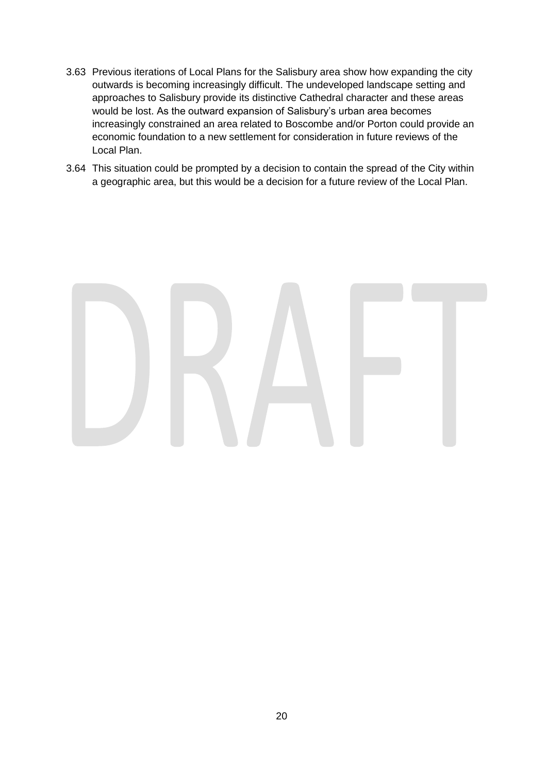- 3.63 Previous iterations of Local Plans for the Salisbury area show how expanding the city outwards is becoming increasingly difficult. The undeveloped landscape setting and approaches to Salisbury provide its distinctive Cathedral character and these areas would be lost. As the outward expansion of Salisbury's urban area becomes increasingly constrained an area related to Boscombe and/or Porton could provide an economic foundation to a new settlement for consideration in future reviews of the Local Plan.
- 3.64 This situation could be prompted by a decision to contain the spread of the City within a geographic area, but this would be a decision for a future review of the Local Plan.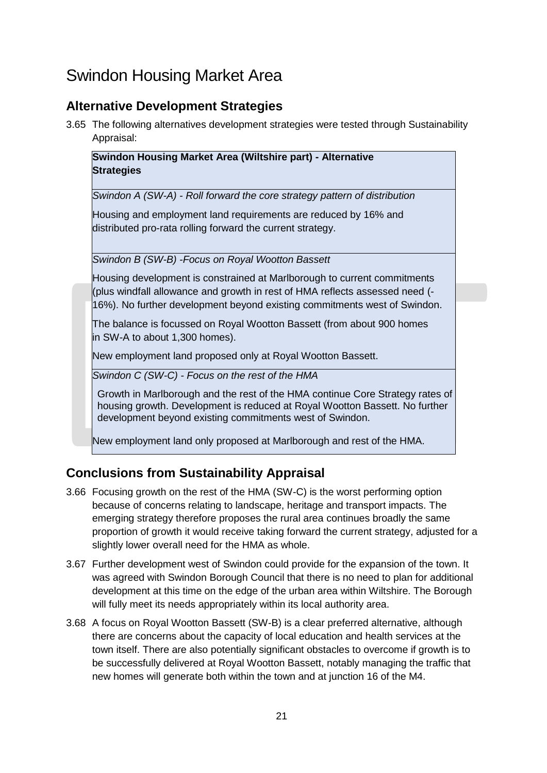## Swindon Housing Market Area

## **Alternative Development Strategies**

3.65 The following alternatives development strategies were tested through Sustainability Appraisal:

**Swindon Housing Market Area (Wiltshire part) - Alternative Strategies**

*Swindon A (SW-A) - Roll forward the core strategy pattern of distribution*

Housing and employment land requirements are reduced by 16% and distributed pro-rata rolling forward the current strategy.

*Swindon B (SW-B) -Focus on Royal Wootton Bassett*

Housing development is constrained at Marlborough to current commitments (plus windfall allowance and growth in rest of HMA reflects assessed need (- 16%). No further development beyond existing commitments west of Swindon.

The balance is focussed on Royal Wootton Bassett (from about 900 homes in SW-A to about 1,300 homes).

New employment land proposed only at Royal Wootton Bassett.

*Swindon C (SW-C) - Focus on the rest of the HMA*

Growth in Marlborough and the rest of the HMA continue Core Strategy rates of housing growth. Development is reduced at Royal Wootton Bassett. No further development beyond existing commitments west of Swindon.

New employment land only proposed at Marlborough and rest of the HMA.

## **Conclusions from Sustainability Appraisal**

- 3.66 Focusing growth on the rest of the HMA (SW-C) is the worst performing option because of concerns relating to landscape, heritage and transport impacts. The emerging strategy therefore proposes the rural area continues broadly the same proportion of growth it would receive taking forward the current strategy, adjusted for a slightly lower overall need for the HMA as whole.
- 3.67 Further development west of Swindon could provide for the expansion of the town. It was agreed with Swindon Borough Council that there is no need to plan for additional development at this time on the edge of the urban area within Wiltshire. The Borough will fully meet its needs appropriately within its local authority area.
- 3.68 A focus on Royal Wootton Bassett (SW-B) is a clear preferred alternative, although there are concerns about the capacity of local education and health services at the town itself. There are also potentially significant obstacles to overcome if growth is to be successfully delivered at Royal Wootton Bassett, notably managing the traffic that new homes will generate both within the town and at junction 16 of the M4.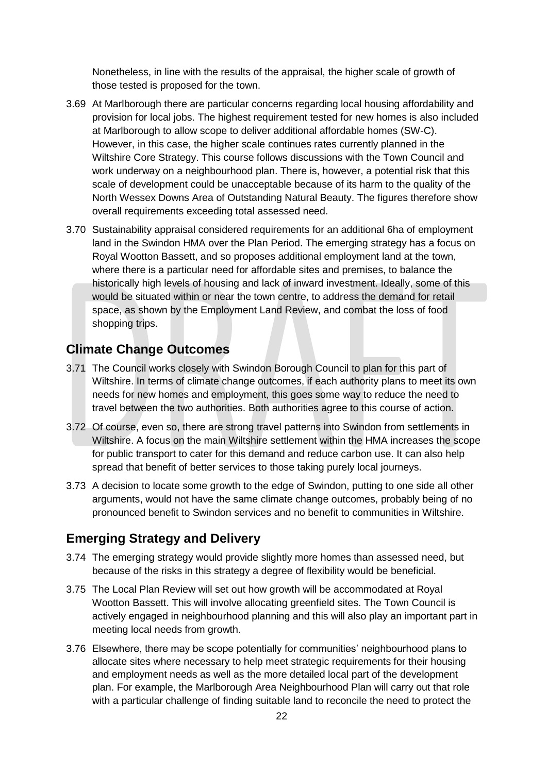Nonetheless, in line with the results of the appraisal, the higher scale of growth of those tested is proposed for the town.

- 3.69 At Marlborough there are particular concerns regarding local housing affordability and provision for local jobs. The highest requirement tested for new homes is also included at Marlborough to allow scope to deliver additional affordable homes (SW-C). However, in this case, the higher scale continues rates currently planned in the Wiltshire Core Strategy. This course follows discussions with the Town Council and work underway on a neighbourhood plan. There is, however, a potential risk that this scale of development could be unacceptable because of its harm to the quality of the North Wessex Downs Area of Outstanding Natural Beauty. The figures therefore show overall requirements exceeding total assessed need.
- 3.70 Sustainability appraisal considered requirements for an additional 6ha of employment land in the Swindon HMA over the Plan Period. The emerging strategy has a focus on Royal Wootton Bassett, and so proposes additional employment land at the town, where there is a particular need for affordable sites and premises, to balance the historically high levels of housing and lack of inward investment. Ideally, some of this would be situated within or near the town centre, to address the demand for retail space, as shown by the Employment Land Review, and combat the loss of food shopping trips.

#### **Climate Change Outcomes**

- 3.71 The Council works closely with Swindon Borough Council to plan for this part of Wiltshire. In terms of climate change outcomes, if each authority plans to meet its own needs for new homes and employment, this goes some way to reduce the need to travel between the two authorities. Both authorities agree to this course of action.
- 3.72 Of course, even so, there are strong travel patterns into Swindon from settlements in Wiltshire. A focus on the main Wiltshire settlement within the HMA increases the scope for public transport to cater for this demand and reduce carbon use. It can also help spread that benefit of better services to those taking purely local journeys.
- 3.73 A decision to locate some growth to the edge of Swindon, putting to one side all other arguments, would not have the same climate change outcomes, probably being of no pronounced benefit to Swindon services and no benefit to communities in Wiltshire.

#### **Emerging Strategy and Delivery**

- 3.74 The emerging strategy would provide slightly more homes than assessed need, but because of the risks in this strategy a degree of flexibility would be beneficial.
- 3.75 The Local Plan Review will set out how growth will be accommodated at Royal Wootton Bassett. This will involve allocating greenfield sites. The Town Council is actively engaged in neighbourhood planning and this will also play an important part in meeting local needs from growth.
- 3.76 Elsewhere, there may be scope potentially for communities' neighbourhood plans to allocate sites where necessary to help meet strategic requirements for their housing and employment needs as well as the more detailed local part of the development plan. For example, the Marlborough Area Neighbourhood Plan will carry out that role with a particular challenge of finding suitable land to reconcile the need to protect the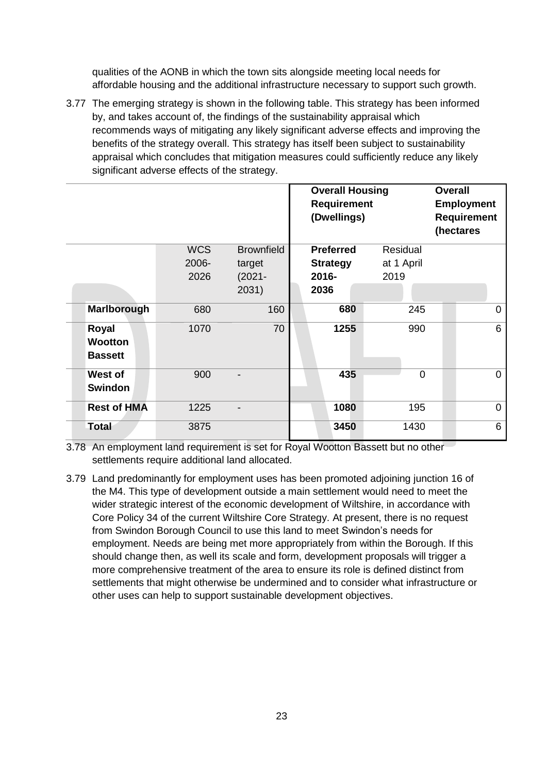qualities of the AONB in which the town sits alongside meeting local needs for affordable housing and the additional infrastructure necessary to support such growth.

3.77 The emerging strategy is shown in the following table. This strategy has been informed by, and takes account of, the findings of the sustainability appraisal which recommends ways of mitigating any likely significant adverse effects and improving the benefits of the strategy overall. This strategy has itself been subject to sustainability appraisal which concludes that mitigation measures could sufficiently reduce any likely significant adverse effects of the strategy.

|                                           |            |                   | <b>Overall Housing</b><br><b>Requirement</b><br>(Dwellings) |            | <b>Overall</b> | <b>Employment</b><br><b>Requirement</b><br>(hectares |
|-------------------------------------------|------------|-------------------|-------------------------------------------------------------|------------|----------------|------------------------------------------------------|
|                                           | <b>WCS</b> | <b>Brownfield</b> | <b>Preferred</b>                                            | Residual   |                |                                                      |
|                                           | 2006-      | target            | <b>Strategy</b>                                             | at 1 April |                |                                                      |
|                                           | 2026       | $(2021 -$         | 2016-                                                       | 2019       |                |                                                      |
|                                           |            | 2031)             | 2036                                                        |            |                |                                                      |
| Marlborough                               | 680        | 160               | 680                                                         | 245        |                | $\mathbf 0$                                          |
| Royal<br><b>Wootton</b><br><b>Bassett</b> | 1070       | 70                | 1255                                                        | 990        |                | 6                                                    |
| West of<br><b>Swindon</b>                 | 900        |                   | 435                                                         | $\Omega$   |                | $\mathbf 0$                                          |
| <b>Rest of HMA</b>                        | 1225       |                   | 1080                                                        | 195        |                | $\mathbf 0$                                          |
| Total                                     | 3875       |                   | 3450                                                        | 1430       |                | 6                                                    |

3.78 An employment land requirement is set for Royal Wootton Bassett but no other settlements require additional land allocated.

3.79 Land predominantly for employment uses has been promoted adjoining junction 16 of the M4. This type of development outside a main settlement would need to meet the wider strategic interest of the economic development of Wiltshire, in accordance with Core Policy 34 of the current Wiltshire Core Strategy. At present, there is no request from Swindon Borough Council to use this land to meet Swindon's needs for employment. Needs are being met more appropriately from within the Borough. If this should change then, as well its scale and form, development proposals will trigger a more comprehensive treatment of the area to ensure its role is defined distinct from settlements that might otherwise be undermined and to consider what infrastructure or other uses can help to support sustainable development objectives.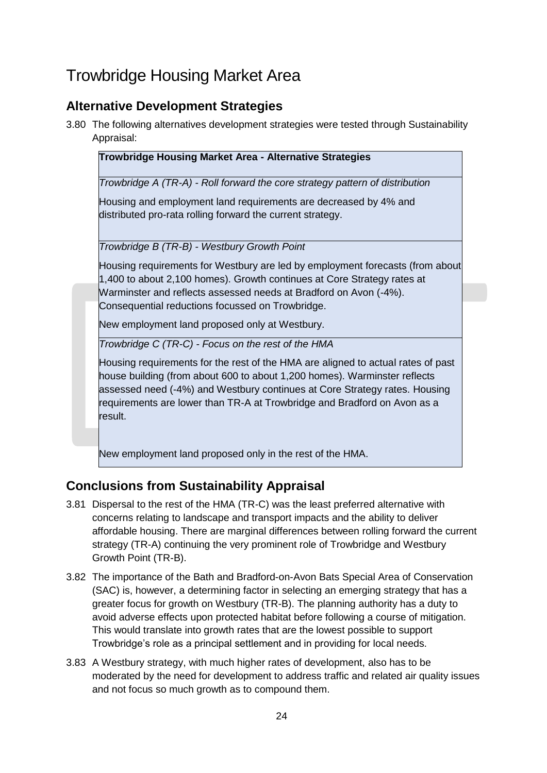# Trowbridge Housing Market Area

## **Alternative Development Strategies**

3.80 The following alternatives development strategies were tested through Sustainability Appraisal:

| Trowbridge Housing Market Area - Alternative Strategies                          |
|----------------------------------------------------------------------------------|
| Trowbridge A (TR-A) - Roll forward the core strategy pattern of distribution     |
| Housing and employment land requirements are decreased by 4% and                 |
| distributed pro-rata rolling forward the current strategy.                       |
|                                                                                  |
| Trowbridge B (TR-B) - Westbury Growth Point                                      |
| Housing requirements for Westbury are led by employment forecasts (from about    |
| 1,400 to about 2,100 homes). Growth continues at Core Strategy rates at          |
| Warminster and reflects assessed needs at Bradford on Avon (-4%).                |
| Consequential reductions focussed on Trowbridge.                                 |
| New employment land proposed only at Westbury.                                   |
| Trowbridge C (TR-C) - Focus on the rest of the HMA                               |
| Housing requirements for the rest of the HMA are aligned to actual rates of past |
| house building (from about 600 to about 1,200 homes). Warminster reflects        |
| assessed need (-4%) and Westbury continues at Core Strategy rates. Housing       |
| requirements are lower than TR-A at Trowbridge and Bradford on Avon as a         |

New employment land proposed only in the rest of the HMA.

## **Conclusions from Sustainability Appraisal**

result.

- 3.81 Dispersal to the rest of the HMA (TR-C) was the least preferred alternative with concerns relating to landscape and transport impacts and the ability to deliver affordable housing. There are marginal differences between rolling forward the current strategy (TR-A) continuing the very prominent role of Trowbridge and Westbury Growth Point (TR-B).
- 3.82 The importance of the Bath and Bradford-on-Avon Bats Special Area of Conservation (SAC) is, however, a determining factor in selecting an emerging strategy that has a greater focus for growth on Westbury (TR-B). The planning authority has a duty to avoid adverse effects upon protected habitat before following a course of mitigation. This would translate into growth rates that are the lowest possible to support Trowbridge's role as a principal settlement and in providing for local needs.
- 3.83 A Westbury strategy, with much higher rates of development, also has to be moderated by the need for development to address traffic and related air quality issues and not focus so much growth as to compound them.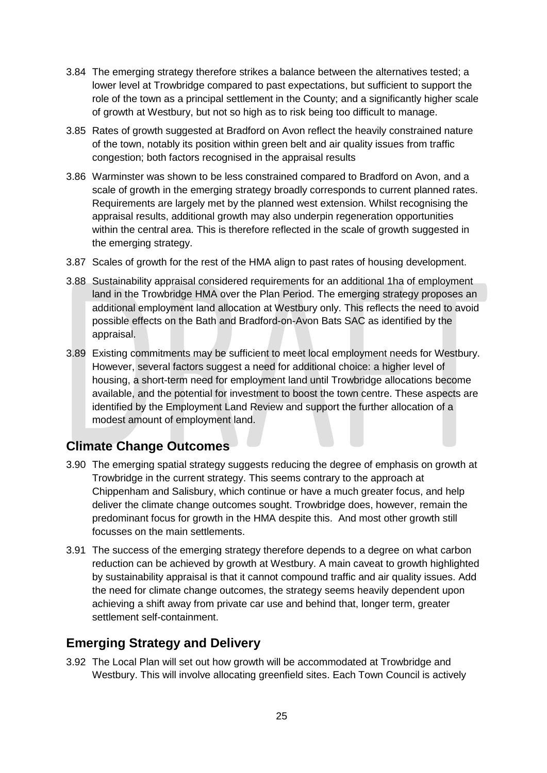- 3.84 The emerging strategy therefore strikes a balance between the alternatives tested; a lower level at Trowbridge compared to past expectations, but sufficient to support the role of the town as a principal settlement in the County; and a significantly higher scale of growth at Westbury, but not so high as to risk being too difficult to manage.
- 3.85 Rates of growth suggested at Bradford on Avon reflect the heavily constrained nature of the town, notably its position within green belt and air quality issues from traffic congestion; both factors recognised in the appraisal results
- 3.86 Warminster was shown to be less constrained compared to Bradford on Avon, and a scale of growth in the emerging strategy broadly corresponds to current planned rates. Requirements are largely met by the planned west extension. Whilst recognising the appraisal results, additional growth may also underpin regeneration opportunities within the central area. This is therefore reflected in the scale of growth suggested in the emerging strategy.
- 3.87 Scales of growth for the rest of the HMA align to past rates of housing development.
- 3.88 Sustainability appraisal considered requirements for an additional 1ha of employment land in the Trowbridge HMA over the Plan Period. The emerging strategy proposes an additional employment land allocation at Westbury only. This reflects the need to avoid possible effects on the Bath and Bradford-on-Avon Bats SAC as identified by the appraisal.
- 3.89 Existing commitments may be sufficient to meet local employment needs for Westbury. However, several factors suggest a need for additional choice: a higher level of housing, a short-term need for employment land until Trowbridge allocations become available, and the potential for investment to boost the town centre. These aspects are identified by the Employment Land Review and support the further allocation of a modest amount of employment land.

## **Climate Change Outcomes**

- 3.90 The emerging spatial strategy suggests reducing the degree of emphasis on growth at Trowbridge in the current strategy. This seems contrary to the approach at Chippenham and Salisbury, which continue or have a much greater focus, and help deliver the climate change outcomes sought. Trowbridge does, however, remain the predominant focus for growth in the HMA despite this. And most other growth still focusses on the main settlements.
- 3.91 The success of the emerging strategy therefore depends to a degree on what carbon reduction can be achieved by growth at Westbury. A main caveat to growth highlighted by sustainability appraisal is that it cannot compound traffic and air quality issues. Add the need for climate change outcomes, the strategy seems heavily dependent upon achieving a shift away from private car use and behind that, longer term, greater settlement self-containment.

## **Emerging Strategy and Delivery**

3.92 The Local Plan will set out how growth will be accommodated at Trowbridge and Westbury. This will involve allocating greenfield sites. Each Town Council is actively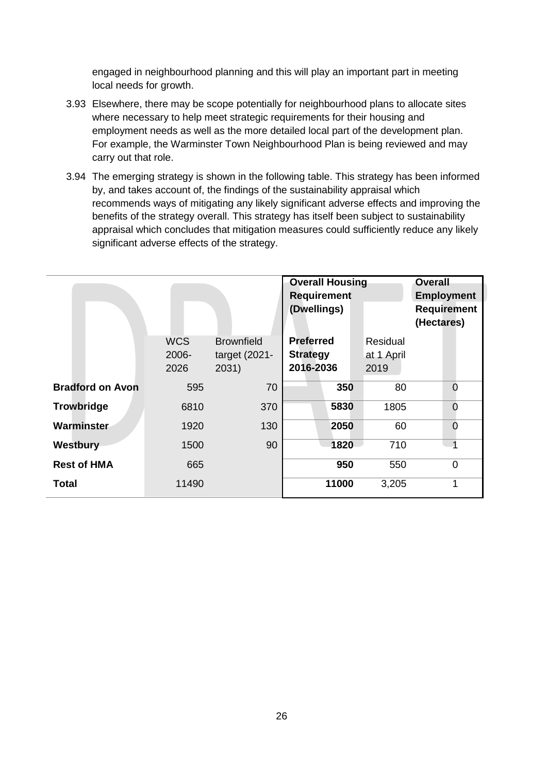engaged in neighbourhood planning and this will play an important part in meeting local needs for growth.

- 3.93 Elsewhere, there may be scope potentially for neighbourhood plans to allocate sites where necessary to help meet strategic requirements for their housing and employment needs as well as the more detailed local part of the development plan. For example, the Warminster Town Neighbourhood Plan is being reviewed and may carry out that role.
- 3.94 The emerging strategy is shown in the following table. This strategy has been informed by, and takes account of, the findings of the sustainability appraisal which recommends ways of mitigating any likely significant adverse effects and improving the benefits of the strategy overall. This strategy has itself been subject to sustainability appraisal which concludes that mitigation measures could sufficiently reduce any likely significant adverse effects of the strategy.

|                         |                                | <b>Overall Housing</b><br><b>Requirement</b><br>(Dwellings) |                                                  | <b>Overall</b><br><b>Employment</b><br><b>Requirement</b><br>(Hectares) |                |
|-------------------------|--------------------------------|-------------------------------------------------------------|--------------------------------------------------|-------------------------------------------------------------------------|----------------|
|                         | <b>WCS</b><br>$2006 -$<br>2026 | <b>Brownfield</b><br>target (2021-<br>2031)                 | <b>Preferred</b><br><b>Strategy</b><br>2016-2036 | Residual<br>at 1 April<br>2019                                          |                |
| <b>Bradford on Avon</b> | 595                            | 70                                                          | 350                                              | 80                                                                      | $\Omega$       |
| <b>Trowbridge</b>       | 6810                           | 370                                                         | 5830                                             | 1805                                                                    | $\Omega$       |
| Warminster              | 1920                           | 130                                                         | 2050                                             | 60                                                                      | $\overline{0}$ |
| Westbury                | 1500                           | 90                                                          | 1820                                             | 710                                                                     | 1              |
| <b>Rest of HMA</b>      | 665                            |                                                             | 950                                              | 550                                                                     | $\overline{0}$ |
| <b>Total</b>            | 11490                          |                                                             | 11000                                            | 3,205                                                                   | 1              |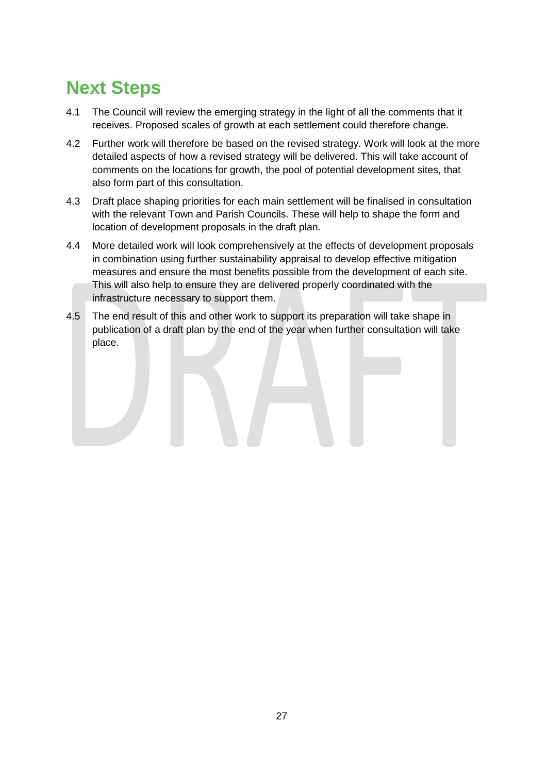# **Next Steps**

- 4.1 The Council will review the emerging strategy in the light of all the comments that it receives. Proposed scales of growth at each settlement could therefore change.
- 4.2 Further work will therefore be based on the revised strategy. Work will look at the more detailed aspects of how a revised strategy will be delivered. This will take account of comments on the locations for growth, the pool of potential development sites, that also form part of this consultation.
- 4.3 Draft place shaping priorities for each main settlement will be finalised in consultation with the relevant Town and Parish Councils. These will help to shape the form and location of development proposals in the draft plan.
- 4.4 More detailed work will look comprehensively at the effects of development proposals in combination using further sustainability appraisal to develop effective mitigation measures and ensure the most benefits possible from the development of each site. This will also help to ensure they are delivered properly coordinated with the infrastructure necessary to support them.
- 4.5 The end result of this and other work to support its preparation will take shape in publication of a draft plan by the end of the year when further consultation will take place.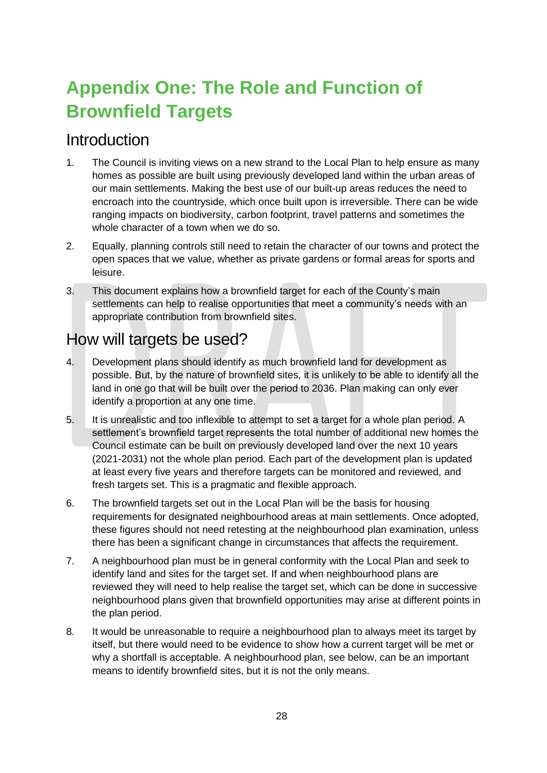# **Appendix One: The Role and Function of Brownfield Targets**

## Introduction

- 1. The Council is inviting views on a new strand to the Local Plan to help ensure as many homes as possible are built using previously developed land within the urban areas of our main settlements. Making the best use of our built-up areas reduces the need to encroach into the countryside, which once built upon is irreversible. There can be wide ranging impacts on biodiversity, carbon footprint, travel patterns and sometimes the whole character of a town when we do so.
- 2. Equally, planning controls still need to retain the character of our towns and protect the open spaces that we value, whether as private gardens or formal areas for sports and leisure.
- 3. This document explains how a brownfield target for each of the County's main settlements can help to realise opportunities that meet a community's needs with an appropriate contribution from brownfield sites.

## How will targets be used?

- 4. Development plans should identify as much brownfield land for development as possible. But, by the nature of brownfield sites, it is unlikely to be able to identify all the land in one go that will be built over the period to 2036. Plan making can only ever identify a proportion at any one time.
- 5. It is unrealistic and too inflexible to attempt to set a target for a whole plan period. A settlement's brownfield target represents the total number of additional new homes the Council estimate can be built on previously developed land over the next 10 years (2021-2031) not the whole plan period. Each part of the development plan is updated at least every five years and therefore targets can be monitored and reviewed, and fresh targets set. This is a pragmatic and flexible approach.
- 6. The brownfield targets set out in the Local Plan will be the basis for housing requirements for designated neighbourhood areas at main settlements. Once adopted, these figures should not need retesting at the neighbourhood plan examination, unless there has been a significant change in circumstances that affects the requirement.
- 7. A neighbourhood plan must be in general conformity with the Local Plan and seek to identify land and sites for the target set. If and when neighbourhood plans are reviewed they will need to help realise the target set, which can be done in successive neighbourhood plans given that brownfield opportunities may arise at different points in the plan period.
- 8. It would be unreasonable to require a neighbourhood plan to always meet its target by itself, but there would need to be evidence to show how a current target will be met or why a shortfall is acceptable. A neighbourhood plan, see below, can be an important means to identify brownfield sites, but it is not the only means.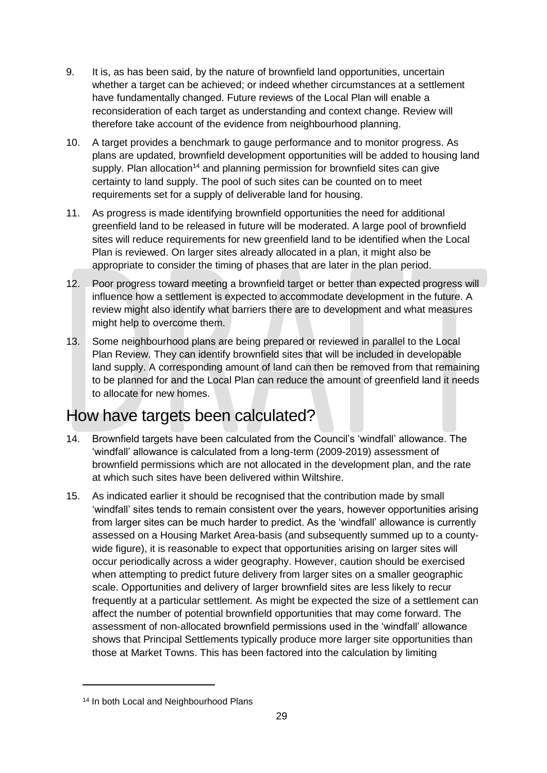- 9. It is, as has been said, by the nature of brownfield land opportunities, uncertain whether a target can be achieved; or indeed whether circumstances at a settlement have fundamentally changed. Future reviews of the Local Plan will enable a reconsideration of each target as understanding and context change. Review will therefore take account of the evidence from neighbourhood planning.
- 10. A target provides a benchmark to gauge performance and to monitor progress. As plans are updated, brownfield development opportunities will be added to housing land supply. Plan allocation<sup>14</sup> and planning permission for brownfield sites can give certainty to land supply. The pool of such sites can be counted on to meet requirements set for a supply of deliverable land for housing.
- 11. As progress is made identifying brownfield opportunities the need for additional greenfield land to be released in future will be moderated. A large pool of brownfield sites will reduce requirements for new greenfield land to be identified when the Local Plan is reviewed. On larger sites already allocated in a plan, it might also be appropriate to consider the timing of phases that are later in the plan period.
- 12. Poor progress toward meeting a brownfield target or better than expected progress will influence how a settlement is expected to accommodate development in the future. A review might also identify what barriers there are to development and what measures might help to overcome them.
- 13. Some neighbourhood plans are being prepared or reviewed in parallel to the Local Plan Review. They can identify brownfield sites that will be included in developable land supply. A corresponding amount of land can then be removed from that remaining to be planned for and the Local Plan can reduce the amount of greenfield land it needs to allocate for new homes.

# How have targets been calculated?

- 14. Brownfield targets have been calculated from the Council's 'windfall' allowance. The 'windfall' allowance is calculated from a long-term (2009-2019) assessment of brownfield permissions which are not allocated in the development plan, and the rate at which such sites have been delivered within Wiltshire.
- 15. As indicated earlier it should be recognised that the contribution made by small 'windfall' sites tends to remain consistent over the years, however opportunities arising from larger sites can be much harder to predict. As the 'windfall' allowance is currently assessed on a Housing Market Area-basis (and subsequently summed up to a countywide figure), it is reasonable to expect that opportunities arising on larger sites will occur periodically across a wider geography. However, caution should be exercised when attempting to predict future delivery from larger sites on a smaller geographic scale. Opportunities and delivery of larger brownfield sites are less likely to recur frequently at a particular settlement. As might be expected the size of a settlement can affect the number of potential brownfield opportunities that may come forward. The assessment of non-allocated brownfield permissions used in the 'windfall' allowance shows that Principal Settlements typically produce more larger site opportunities than those at Market Towns. This has been factored into the calculation by limiting

<sup>14</sup> In both Local and Neighbourhood Plans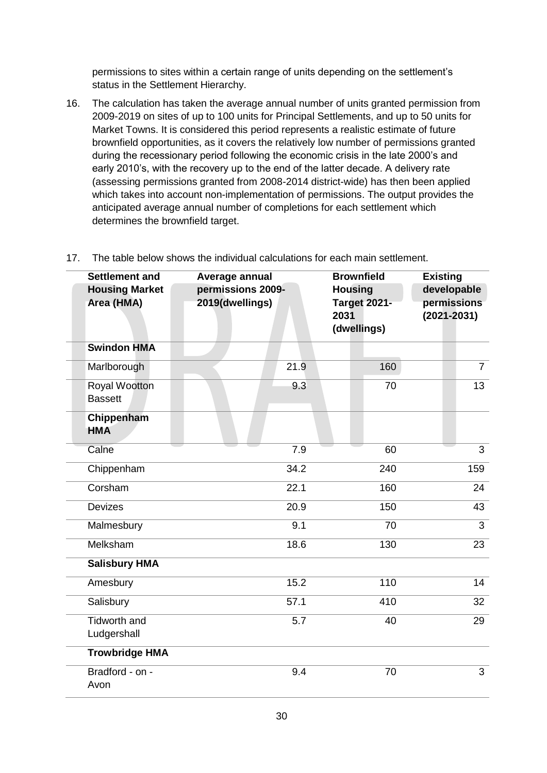permissions to sites within a certain range of units depending on the settlement's status in the Settlement Hierarchy.

16. The calculation has taken the average annual number of units granted permission from 2009-2019 on sites of up to 100 units for Principal Settlements, and up to 50 units for Market Towns. It is considered this period represents a realistic estimate of future brownfield opportunities, as it covers the relatively low number of permissions granted during the recessionary period following the economic crisis in the late 2000's and early 2010's, with the recovery up to the end of the latter decade. A delivery rate (assessing permissions granted from 2008-2014 district-wide) has then been applied which takes into account non-implementation of permissions. The output provides the anticipated average annual number of completions for each settlement which determines the brownfield target.

| <b>Settlement and</b>                  | Average annual                       | <b>Brownfield</b>                                            | <b>Existing</b>                               |  |
|----------------------------------------|--------------------------------------|--------------------------------------------------------------|-----------------------------------------------|--|
| <b>Housing Market</b><br>Area (HMA)    | permissions 2009-<br>2019(dwellings) | <b>Housing</b><br><b>Target 2021-</b><br>2031<br>(dwellings) | developable<br>permissions<br>$(2021 - 2031)$ |  |
| <b>Swindon HMA</b>                     |                                      |                                                              |                                               |  |
| Marlborough                            | 21.9                                 | 160                                                          | $\overline{7}$                                |  |
| <b>Royal Wootton</b><br><b>Bassett</b> | 9.3                                  | 70                                                           | 13                                            |  |
| Chippenham<br><b>HMA</b>               |                                      |                                                              |                                               |  |
| Calne                                  | 7.9                                  | 60                                                           | 3                                             |  |
| Chippenham                             | 34.2                                 | 240                                                          | 159                                           |  |
| Corsham                                | 22.1                                 | 160                                                          | 24                                            |  |
| <b>Devizes</b>                         | 20.9                                 | 150                                                          | 43                                            |  |
| Malmesbury                             | 9.1                                  | 70                                                           | $\overline{3}$                                |  |
| Melksham                               | 18.6                                 | 130                                                          | 23                                            |  |
| <b>Salisbury HMA</b>                   |                                      |                                                              |                                               |  |
| Amesbury                               | 15.2                                 | 110                                                          | 14                                            |  |
| Salisbury                              | 57.1                                 | 410                                                          | 32                                            |  |
| <b>Tidworth and</b><br>Ludgershall     | 5.7                                  | 40                                                           | 29                                            |  |
| <b>Trowbridge HMA</b>                  |                                      |                                                              |                                               |  |
| Bradford - on -<br>Avon                | 9.4                                  | 70                                                           | 3                                             |  |

17. The table below shows the individual calculations for each main settlement.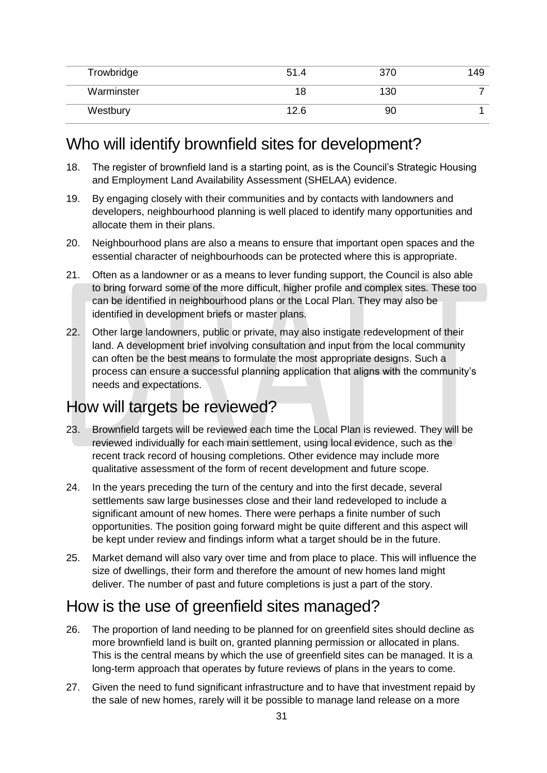| Trowbridge | 51.4 | 370 | 49 |
|------------|------|-----|----|
| Warminster | 18   | 130 |    |
| Westbury   | 12.6 | 90  |    |

## Who will identify brownfield sites for development?

- 18. The register of brownfield land is a starting point, as is the Council's Strategic Housing and Employment Land Availability Assessment (SHELAA) evidence.
- 19. By engaging closely with their communities and by contacts with landowners and developers, neighbourhood planning is well placed to identify many opportunities and allocate them in their plans.
- 20. Neighbourhood plans are also a means to ensure that important open spaces and the essential character of neighbourhoods can be protected where this is appropriate.
- 21. Often as a landowner or as a means to lever funding support, the Council is also able to bring forward some of the more difficult, higher profile and complex sites. These too can be identified in neighbourhood plans or the Local Plan. They may also be identified in development briefs or master plans.
- 22. Other large landowners, public or private, may also instigate redevelopment of their land. A development brief involving consultation and input from the local community can often be the best means to formulate the most appropriate designs. Such a process can ensure a successful planning application that aligns with the community's needs and expectations.

## How will targets be reviewed?

- 23. Brownfield targets will be reviewed each time the Local Plan is reviewed. They will be reviewed individually for each main settlement, using local evidence, such as the recent track record of housing completions. Other evidence may include more qualitative assessment of the form of recent development and future scope.
- 24. In the years preceding the turn of the century and into the first decade, several settlements saw large businesses close and their land redeveloped to include a significant amount of new homes. There were perhaps a finite number of such opportunities. The position going forward might be quite different and this aspect will be kept under review and findings inform what a target should be in the future.
- 25. Market demand will also vary over time and from place to place. This will influence the size of dwellings, their form and therefore the amount of new homes land might deliver. The number of past and future completions is just a part of the story.

## How is the use of greenfield sites managed?

- 26. The proportion of land needing to be planned for on greenfield sites should decline as more brownfield land is built on, granted planning permission or allocated in plans. This is the central means by which the use of greenfield sites can be managed. It is a long-term approach that operates by future reviews of plans in the years to come.
- 27. Given the need to fund significant infrastructure and to have that investment repaid by the sale of new homes, rarely will it be possible to manage land release on a more